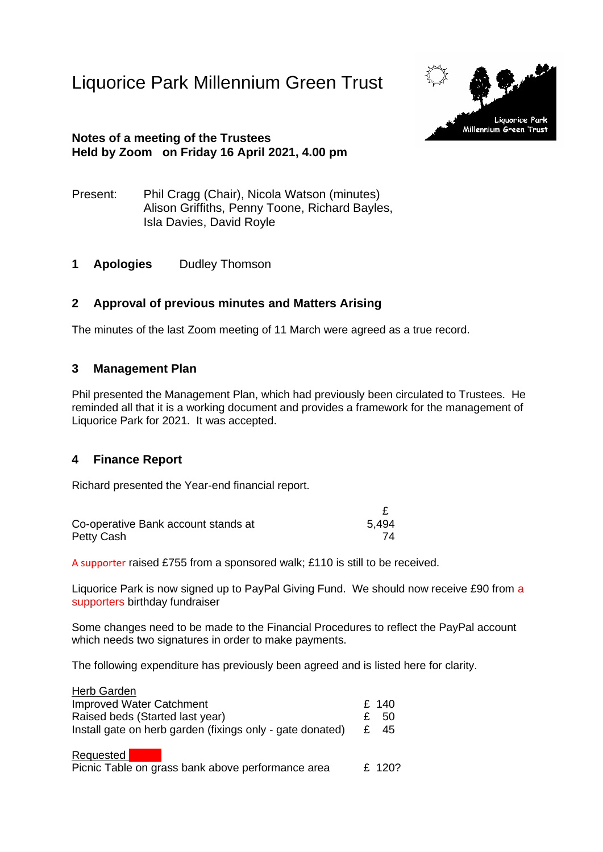Liquorice Park Millennium Green Trust



#### **Notes of a meeting of the Trustees Held by Zoom on Friday 16 April 2021, 4.00 pm**

- Present: Phil Cragg (Chair), Nicola Watson (minutes) Alison Griffiths, Penny Toone, Richard Bayles, Isla Davies, David Royle
- **1 Apologies** Dudley Thomson

# **2 Approval of previous minutes and Matters Arising**

The minutes of the last Zoom meeting of 11 March were agreed as a true record.

#### **3 Management Plan**

Phil presented the Management Plan, which had previously been circulated to Trustees. He reminded all that it is a working document and provides a framework for the management of Liquorice Park for 2021. It was accepted.

#### **4 Finance Report**

Richard presented the Year-end financial report.

| Co-operative Bank account stands at | 5.494 |
|-------------------------------------|-------|
| Petty Cash                          |       |

A supporter raised £755 from a sponsored walk; £110 is still to be received.

Liquorice Park is now signed up to PayPal Giving Fund. We should now receive £90 from a supporters birthday fundraiser

£

Some changes need to be made to the Financial Procedures to reflect the PayPal account which needs two signatures in order to make payments.

The following expenditure has previously been agreed and is listed here for clarity.

| Herb Garden                                               |    |        |
|-----------------------------------------------------------|----|--------|
| <b>Improved Water Catchment</b>                           |    | £ 140  |
| Raised beds (Started last year)                           | £. | 50     |
| Install gate on herb garden (fixings only - gate donated) | £  | 45     |
| Requested                                                 |    |        |
| Picnic Table on grass bank above performance area         |    | £ 120? |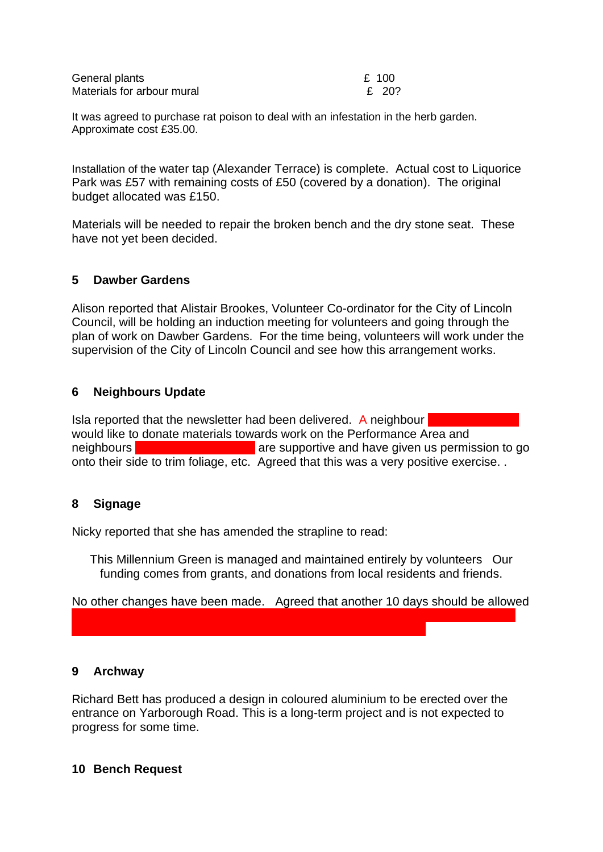| General plants             | £ 100 |
|----------------------------|-------|
| Materials for arbour mural | £ 20? |

It was agreed to purchase rat poison to deal with an infestation in the herb garden. Approximate cost £35.00.

Installation of the water tap (Alexander Terrace) is complete. Actual cost to Liquorice Park was £57 with remaining costs of £50 (covered by a donation). The original budget allocated was £150.

Materials will be needed to repair the broken bench and the dry stone seat. These have not yet been decided.

#### **5 Dawber Gardens**

Alison reported that Alistair Brookes, Volunteer Co-ordinator for the City of Lincoln Council, will be holding an induction meeting for volunteers and going through the plan of work on Dawber Gardens. For the time being, volunteers will work under the supervision of the City of Lincoln Council and see how this arrangement works.

## **6 Neighbours Update**

Isla reported that the newsletter had been delivered. A neighbour would like to donate materials towards work on the Performance Area and neighbours **119 Yarborough Road are supportive and have given us permission to go** onto their side to trim foliage, etc. Agreed that this was a very positive exercise. .

# **8 Signage**

Nicky reported that she has amended the strapline to read:

This Millennium Green is managed and maintained entirely by volunteers Our funding comes from grants, and donations from local residents and friends.

No other changes have been made. Agreed that another 10 days should be allowed

although Nicky reminded Trustees that the design which she,  $D_{\rm eff}$  and  $D_{\rm eff}$  and  $D_{\rm eff}$  and  $D_{\rm eff}$ 

#### **9 Archway**

Richard Bett has produced a design in coloured aluminium to be erected over the entrance on Yarborough Road. This is a long-term project and is not expected to progress for some time.

#### **10 Bench Request**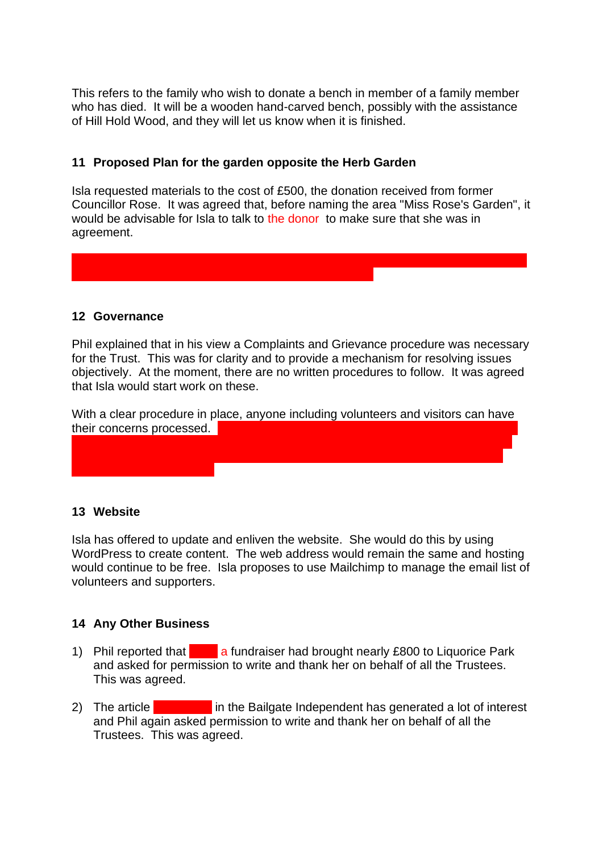This refers to the family who wish to donate a bench in member of a family member who has died. It will be a wooden hand-carved bench, possibly with the assistance of Hill Hold Wood, and they will let us know when it is finished.

## **11 Proposed Plan for the garden opposite the Herb Garden**

Isla requested materials to the cost of £500, the donation received from former Councillor Rose. It was agreed that, before naming the area "Miss Rose's Garden", it would be advisable for Isla to talk to the donor to make sure that she was in agreement.

Alison reported that the Executive of  $L$  is at last taking action on  $L$  -council is at last taking action on  $\mathbb{R}$ 

#### **12 Governance**

Phil explained that in his view a Complaints and Grievance procedure was necessary for the Trust. This was for clarity and to provide a mechanism for resolving issues objectively. At the moment, there are no written procedures to follow. It was agreed that Isla would start work on these.

With a clear procedure in place, anyone including volunteers and visitors can have their concerns processed.

Carline Road entrance has been dealt with. Alison sent a card of apology to Tina. No complaint has complaint has complaint has complaint has complaint  $\mathcal{L}$  are now working to gether on  $\mathcal{L}$ 

#### **13 Website**

Isla has offered to update and enliven the website. She would do this by using WordPress to create content. The web address would remain the same and hosting would continue to be free. Isla proposes to use Mailchimp to manage the email list of volunteers and supporters.

#### **14 Any Other Business**

- 1) Phil reported that **Algebia a fundraiser had brought nearly £800 to Liquorice Park** and asked for permission to write and thank her on behalf of all the Trustees. This was agreed.
- 2) The article **Dahlia Lee in the Bailgate Independent has generated a lot of interest** and Phil again asked permission to write and thank her on behalf of all the Trustees. This was agreed.